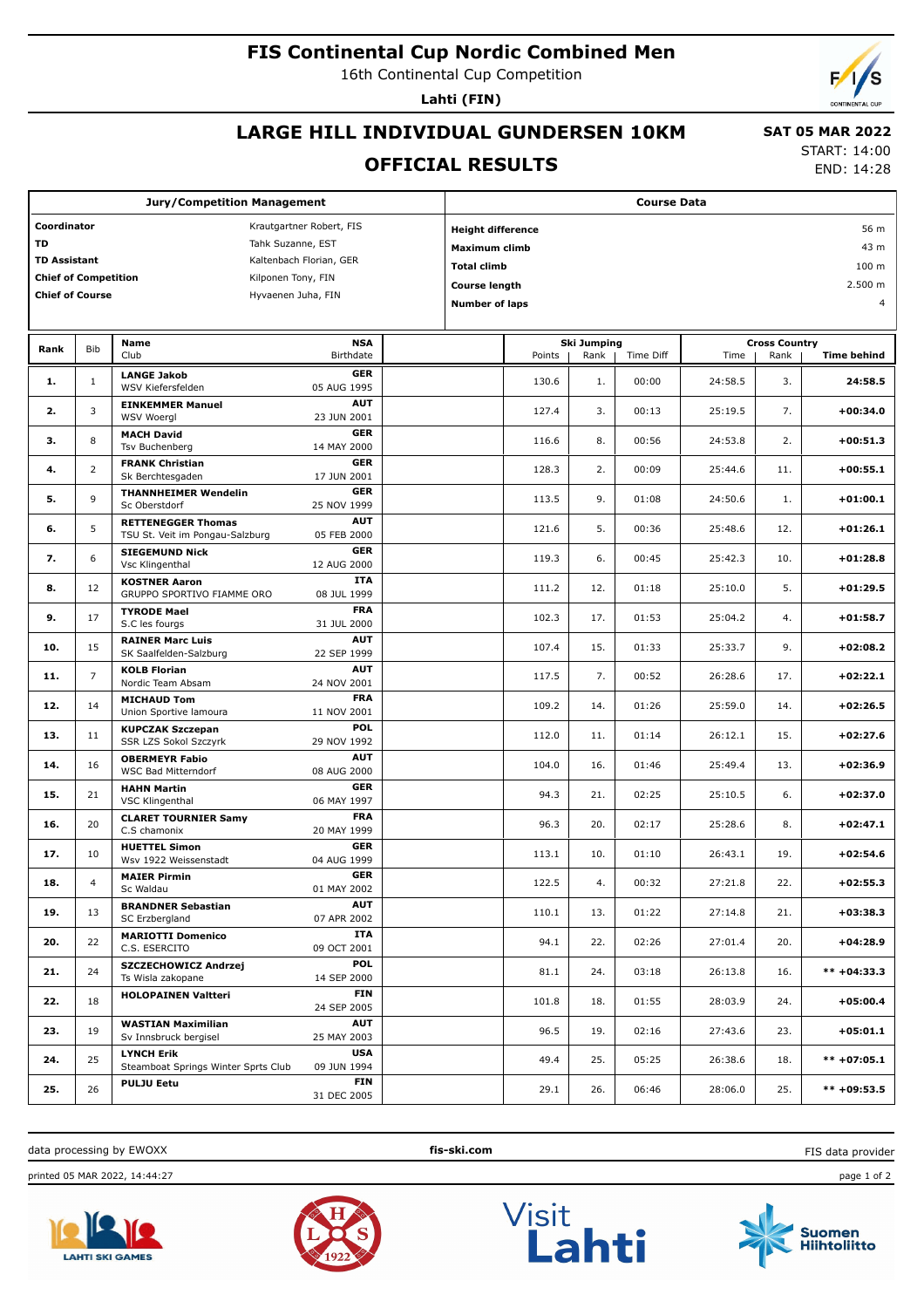## **FIS Continental Cup Nordic Combined Men**

16th Continental Cup Competition

**Lahti (FIN)**

# **LARGE HILL INDIVIDUAL GUNDERSEN 10KM**

#### **OFFICIAL RESULTS**

 **SAT 05 MAR 2022** START: 14:00

END: 14:28

| <b>Jury/Competition Management</b>                |                |                                                              | <b>Course Data</b>               |         |                            |                    |      |                      |         |      |                    |  |
|---------------------------------------------------|----------------|--------------------------------------------------------------|----------------------------------|---------|----------------------------|--------------------|------|----------------------|---------|------|--------------------|--|
| Coordinator<br>Krautgartner Robert, FIS           |                |                                                              | <b>Height difference</b><br>56 m |         |                            |                    |      |                      |         |      |                    |  |
| TD<br>Tahk Suzanne, EST                           |                |                                                              | 43 m<br>Maximum climb            |         |                            |                    |      |                      |         |      |                    |  |
| <b>TD Assistant</b><br>Kaltenbach Florian, GER    |                |                                                              | 100 m<br><b>Total climb</b>      |         |                            |                    |      |                      |         |      |                    |  |
| <b>Chief of Competition</b><br>Kilponen Tony, FIN |                |                                                              |                                  | 2.500 m |                            |                    |      |                      |         |      |                    |  |
| <b>Chief of Course</b>                            |                | Hyvaenen Juha, FIN                                           |                                  |         | <b>Course length</b>       |                    |      |                      |         |      |                    |  |
|                                                   |                |                                                              |                                  |         | 4<br><b>Number of laps</b> |                    |      |                      |         |      |                    |  |
|                                                   |                | <b>NSA</b><br>Name                                           |                                  |         |                            | <b>Ski Jumping</b> |      | <b>Cross Country</b> |         |      |                    |  |
| Rank                                              | Bib            | Club                                                         | Birthdate                        |         |                            | Points             | Rank | Time Diff            | Time    | Rank | <b>Time behind</b> |  |
| 1.                                                | $\mathbf{1}$   | <b>LANGE Jakob</b><br>WSV Kiefersfelden                      | <b>GER</b><br>05 AUG 1995        |         |                            | 130.6              | 1.   | 00:00                | 24:58.5 | 3.   | 24:58.5            |  |
| 2.                                                | 3              | <b>EINKEMMER Manuel</b><br><b>WSV Woergl</b>                 | <b>AUT</b><br>23 JUN 2001        |         |                            | 127.4              | 3.   | 00:13                | 25:19.5 | 7.   | $+00:34.0$         |  |
| з.                                                | 8              | <b>MACH David</b><br>Tsv Buchenberg                          | <b>GER</b><br>14 MAY 2000        |         |                            | 116.6              | 8.   | 00:56                | 24:53.8 | 2.   | $+00:51.3$         |  |
| 4.                                                | 2              | <b>FRANK Christian</b><br>Sk Berchtesgaden                   | <b>GER</b><br>17 JUN 2001        |         |                            | 128.3              | 2.   | 00:09                | 25:44.6 | 11.  | $+00:55.1$         |  |
| 5.                                                | 9              | <b>THANNHEIMER Wendelin</b><br>Sc Oberstdorf                 | <b>GER</b><br>25 NOV 1999        |         |                            | 113.5              | 9.   | 01:08                | 24:50.6 | 1.   | $+01:00.1$         |  |
| 6.                                                | 5              | <b>RETTENEGGER Thomas</b><br>TSU St. Veit im Pongau-Salzburg | <b>AUT</b><br>05 FEB 2000        |         |                            | 121.6              | 5.   | 00:36                | 25:48.6 | 12.  | $+01:26.1$         |  |
| 7.                                                | 6              | <b>SIEGEMUND Nick</b><br>Vsc Klingenthal                     | <b>GER</b><br>12 AUG 2000        |         |                            | 119.3              | 6.   | 00:45                | 25:42.3 | 10.  | $+01:28.8$         |  |
| 8.                                                | 12             | <b>KOSTNER Aaron</b><br>GRUPPO SPORTIVO FIAMME ORO           | <b>ITA</b><br>08 JUL 1999        |         |                            | 111.2              | 12.  | 01:18                | 25:10.0 | 5.   | $+01:29.5$         |  |
| 9.                                                | 17             | <b>TYRODE Mael</b><br>S.C les fourgs                         | <b>FRA</b><br>31 JUL 2000        |         |                            | 102.3              | 17.  | 01:53                | 25:04.2 | 4.   | $+01:58.7$         |  |
| 10.                                               | 15             | <b>RAINER Marc Luis</b><br>SK Saalfelden-Salzburg            | <b>AUT</b><br>22 SEP 1999        |         |                            | 107.4              | 15.  | 01:33                | 25:33.7 | 9.   | $+02:08.2$         |  |
| 11.                                               | $\overline{7}$ | <b>KOLB Florian</b><br>Nordic Team Absam                     | <b>AUT</b><br>24 NOV 2001        |         |                            | 117.5              | 7.   | 00:52                | 26:28.6 | 17.  | $+02:22.1$         |  |
| 12.                                               | 14             | <b>MICHAUD Tom</b><br>Union Sportive lamoura                 | <b>FRA</b><br>11 NOV 2001        |         |                            | 109.2              | 14.  | 01:26                | 25:59.0 | 14.  | $+02:26.5$         |  |
| 13.                                               | 11             | <b>KUPCZAK Szczepan</b><br>SSR LZS Sokol Szczyrk             | POL<br>29 NOV 1992               |         |                            | 112.0              | 11.  | 01:14                | 26:12.1 | 15.  | $+02:27.6$         |  |
| 14.                                               | 16             | <b>OBERMEYR Fabio</b><br><b>WSC Bad Mitterndorf</b>          | <b>AUT</b><br>08 AUG 2000        |         |                            | 104.0              | 16.  | 01:46                | 25:49.4 | 13.  | +02:36.9           |  |
| 15.                                               | 21             | <b>HAHN Martin</b><br>VSC Klingenthal                        | <b>GER</b><br>06 MAY 1997        |         |                            | 94.3               | 21.  | 02:25                | 25:10.5 | 6.   | $+02:37.0$         |  |
| 16.                                               | 20             | <b>CLARET TOURNIER Samy</b><br>C.S chamonix                  | <b>FRA</b><br>20 MAY 1999        |         |                            | 96.3               | 20.  | 02:17                | 25:28.6 | 8.   | $+02:47.1$         |  |
| 17.                                               | 10             | <b>HUETTEL Simon</b><br>Wsv 1922 Weissenstadt                | <b>GER</b><br>04 AUG 1999        |         |                            | 113.1              | 10.  | 01:10                | 26:43.1 | 19.  | $+02:54.6$         |  |
| 18.                                               | $\overline{4}$ | <b>MAIER Pirmin</b><br>Sc Waldau                             | <b>GER</b><br>01 MAY 2002        |         |                            | 122.5              | 4.   | 00:32                | 27:21.8 | 22.  | $+02:55.3$         |  |
| 19.                                               | 13             | <b>BRANDNER Sebastian</b><br>SC Erzbergland                  | <b>AUT</b><br>07 APR 2002        |         |                            | 110.1              | 13.  | 01:22                | 27:14.8 | 21.  | $+03:38.3$         |  |
| 20.                                               | 22             | <b>MARIOTTI Domenico</b><br>C.S. ESERCITO                    | ITA<br>09 OCT 2001               |         |                            | 94.1               | 22.  | 02:26                | 27:01.4 | 20.  | +04:28.9           |  |
| 21.                                               | 24             | SZCZECHOWICZ Andrzej<br>Ts Wisla zakopane                    | <b>POL</b><br>14 SEP 2000        |         |                            | 81.1               | 24.  | 03:18                | 26:13.8 | 16.  | $*** +04:33.3$     |  |
| 22.                                               | 18             | <b>HOLOPAINEN Valtteri</b>                                   | <b>FIN</b><br>24 SEP 2005        |         |                            | 101.8              | 18.  | 01:55                | 28:03.9 | 24.  | $+05:00.4$         |  |
| 23.                                               | 19             | <b>WASTIAN Maximilian</b><br>Sv Innsbruck bergisel           | <b>AUT</b><br>25 MAY 2003        |         |                            | 96.5               | 19.  | 02:16                | 27:43.6 | 23.  | $+05:01.1$         |  |
| 24.                                               | 25             | <b>LYNCH Erik</b><br>Steamboat Springs Winter Sprts Club     | <b>USA</b><br>09 JUN 1994        |         |                            | 49.4               | 25.  | 05:25                | 26:38.6 | 18.  | $*** +07:05.1$     |  |
| 25.                                               | 26             | <b>PULJU Eetu</b>                                            | <b>FIN</b><br>31 DEC 2005        |         |                            | 29.1               | 26.  | 06:46                | 28:06.0 | 25.  | $*** +09:53.5$     |  |
|                                                   |                |                                                              |                                  |         |                            |                    |      |                      |         |      |                    |  |

data processing by EWOXX **fis-ski.com**

printed 05 MAR 2022, 14:44:27 page 1 of 2









FIS data provider